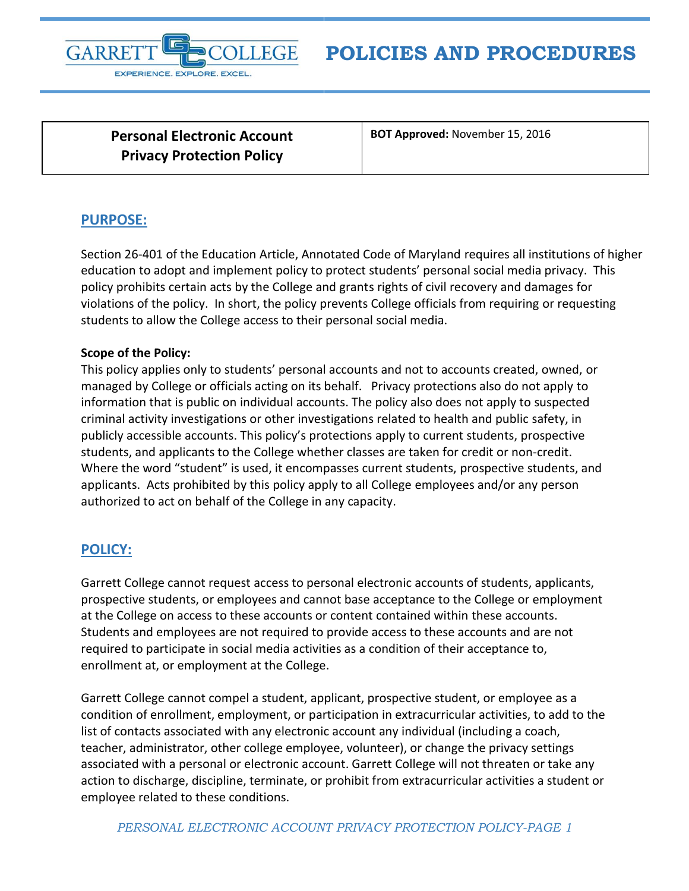

**Personal Electronic Account Privacy Protection Policy**

**BOT Approved:** November 15, 2016

## **PURPOSE:**

Section 26-401 of the Education Article, Annotated Code of Maryland requires all institutions of higher education to adopt and implement policy to protect students' personal social media privacy. This policy prohibits certain acts by the College and grants rights of civil recovery and damages for violations of the policy. In short, the policy prevents College officials from requiring or requesting students to allow the College access to their personal social media.

## **Scope of the Policy:**

This policy applies only to students' personal accounts and not to accounts created, owned, or managed by College or officials acting on its behalf. Privacy protections also do not apply to information that is public on individual accounts. The policy also does not apply to suspected criminal activity investigations or other investigations related to health and public safety, in publicly accessible accounts. This policy's protections apply to current students, prospective students, and applicants to the College whether classes are taken for credit or non-credit. Where the word "student" is used, it encompasses current students, prospective students, and applicants. Acts prohibited by this policy apply to all College employees and/or any person authorized to act on behalf of the College in any capacity.

## **POLICY:**

Garrett College cannot request access to personal electronic accounts of students, applicants, prospective students, or employees and cannot base acceptance to the College or employment at the College on access to these accounts or content contained within these accounts. Students and employees are not required to provide access to these accounts and are not required to participate in social media activities as a condition of their acceptance to, enrollment at, or employment at the College.

Garrett College cannot compel a student, applicant, prospective student, or employee as a condition of enrollment, employment, or participation in extracurricular activities, to add to the list of contacts associated with any electronic account any individual (including a coach, teacher, administrator, other college employee, volunteer), or change the privacy settings associated with a personal or electronic account. Garrett College will not threaten or take any action to discharge, discipline, terminate, or prohibit from extracurricular activities a student or employee related to these conditions.